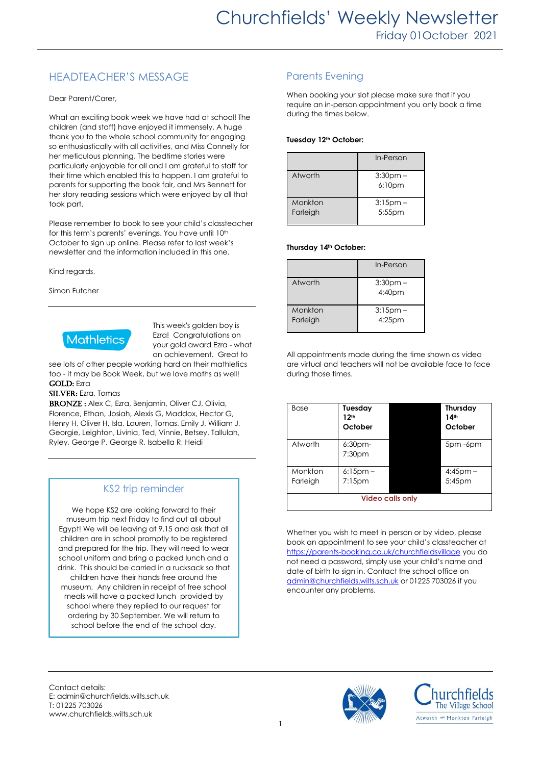## HEADTEACHER'S MESSAGE

Dear Parent/Carer,

What an exciting book week we have had at school! The children (and staff) have enjoyed it immensely. A huge thank you to the whole school community for engaging so enthusiastically with all activities, and Miss Connelly for her meticulous planning. The bedtime stories were particularly enjoyable for all and I am grateful to staff for their time which enabled this to happen. I am grateful to parents for supporting the book fair, and Mrs Bennett for her story reading sessions which were enjoyed by all that took part.

Please remember to book to see your child's classteacher for this term's parents' evenings. You have until 10th October to sign up online. Please refer to last week's newsletter and the information included in this one.

Kind regards,

Simon Futcher



This week's golden boy is Ezra! Congratulations on your gold award Ezra - what an achievement. Great to

see lots of other people working hard on their mathletics too - it may be Book Week, but we love maths as well! GOLD: Ezra

#### SILVER: Ezra, Tomas

BRONZE : Alex C, Ezra, Benjamin, Oliver CJ, Olivia, Florence, Ethan, Josiah, Alexis G, Maddox, Hector G, Henry H, Oliver H, Isla, Lauren, Tomas, Emily J, William J, Georgie, Leighton, Livinia, Ted, Vinnie, Betsey, Tallulah, Ryley, George P, George R, Isabella R, Heidi

## KS2 trip reminder

We hope KS2 are looking forward to their museum trip next Friday to find out all about Egypt! We will be leaving at 9.15 and ask that all children are in school promptly to be registered and prepared for the trip. They will need to wear school uniform and bring a packed lunch and a drink. This should be carried in a rucksack so that children have their hands free around the museum. Any children in receipt of free school meals will have a packed lunch provided by school where they replied to our request for ordering by 30 September. We will return to school before the end of the school day.

## Parents Evening

When booking your slot please make sure that if you require an in-person appointment you only book a time during the times below.

#### **Tuesday 12th October:**

|                     | In-Person                           |
|---------------------|-------------------------------------|
| Atworth             | $3:30$ pm $-$<br>6:10 <sub>pm</sub> |
| Monkton<br>Farleigh | $3:15$ pm $-$<br>5:55pm             |

#### **Thursday 14th October:**

|                     | In-Person                           |
|---------------------|-------------------------------------|
| Atworth             | $3:30$ pm $-$<br>4:40 <sub>pm</sub> |
| Monkton<br>Farleigh | $3:15$ pm –<br>$4:25$ pm            |

All appointments made during the time shown as video are virtual and teachers will not be available face to face during those times.

| Base                    | Tuesday<br>12th<br>October |  | Thursday<br>14 <sup>th</sup><br>October |
|-------------------------|----------------------------|--|-----------------------------------------|
| Atworth                 | $6:30$ pm-<br>7:30pm       |  | 5pm -6pm                                |
| Monkton<br>Farleigh     | $6:15$ pm –<br>$7:15$ pm   |  | $4:45$ pm –<br>5:45pm                   |
| <b>Video calls only</b> |                            |  |                                         |

Whether you wish to meet in person or by video, please book an appointment to see your child's classteacher at <https://parents-booking.co.uk/churchfieldsvillage> you do not need a password, simply use your child's name and date of birth to sign in. Contact the school office on [admin@churchfields.wilts.sch.uk](mailto:admin@churchfields.wilts.sch.uk) or 01225 703026 if you encounter any problems.

Contact details: E: admin@churchfields.wilts.sch.uk T: 01225 703026 www.churchfields.wilts.sch.uk



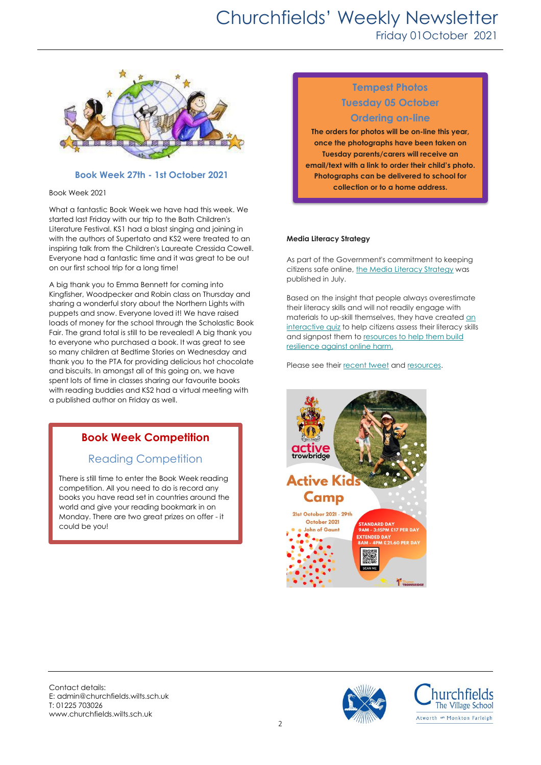## Churchfields' Weekly Newsletter Friday 01October 2021



#### **Book Week 27th - 1st October 2021**

Book Week 2021

What a fantastic Book Week we have had this week. We started last Friday with our trip to the Bath Children's Literature Festival. KS1 had a blast singing and joining in with the authors of Supertato and KS2 were treated to an inspiring talk from the Children's Laureate Cressida Cowell. Everyone had a fantastic time and it was great to be out on our first school trip for a long time!

A big thank you to Emma Bennett for coming into Kingfisher, Woodpecker and Robin class on Thursday and sharing a wonderful story about the Northern Lights with puppets and snow. Everyone loved it! We have raised loads of money for the school through the Scholastic Book Fair. The grand total is still to be revealed! A big thank you to everyone who purchased a book. It was great to see so many children at Bedtime Stories on Wednesday and thank you to the PTA for providing delicious hot chocolate and biscuits. In amongst all of this going on, we have spent lots of time in classes sharing our favourite books with reading buddies and KS2 had a virtual meeting with a published author on Friday as well.

## **Book Week Competition**

## Reading Competition

There is still time to enter the Book Week reading competition. All you need to do is record any books you have read set in countries around the world and give your reading bookmark in on Monday. There are two great prizes on offer - it could be you!

## **Tempest Photos Tuesday 05 October**

## **Ordering on-line**

**The orders for photos will be on-line this year, once the photographs have been taken on Tuesday parents/carers will receive an email/text with a link to order their child's photo. Photographs can be delivered to school for collection or to a home address.**

#### **Media Literacy Strategy**

As part of the Government's commitment to keeping citizens safe online[, the Media Literacy Strategy](https://wiltshire.us5.list-manage.com/track/click?u=2883905f726c9fc694bef8b9e&id=06c64d5cf8&e=b4e418086b) was published in July.

Based on the insight that people always overestimate their literacy skills and will not readily engage with materials to up-skill themselves, they have created an [interactive quiz](https://wiltshire.us5.list-manage.com/track/click?u=2883905f726c9fc694bef8b9e&id=a09bdebf5d&e=b4e418086b) to help citizens assess their literacy skills and signpost them to [resources to help them build](https://wiltshire.us5.list-manage.com/track/click?u=2883905f726c9fc694bef8b9e&id=9300f51718&e=b4e418086b)  resilience against [online harm.](https://wiltshire.us5.list-manage.com/track/click?u=2883905f726c9fc694bef8b9e&id=9300f51718&e=b4e418086b)

Please see thei[r recent tweet](https://wiltshire.us5.list-manage.com/track/click?u=2883905f726c9fc694bef8b9e&id=f298316fd1&e=b4e418086b) and [resources.](https://wiltshire.us5.list-manage.com/track/click?u=2883905f726c9fc694bef8b9e&id=0324322d46&e=b4e418086b)



Contact details: E: admin@churchfields.wilts.sch.uk T: 01225 703026 www.churchfields.wilts.sch.uk



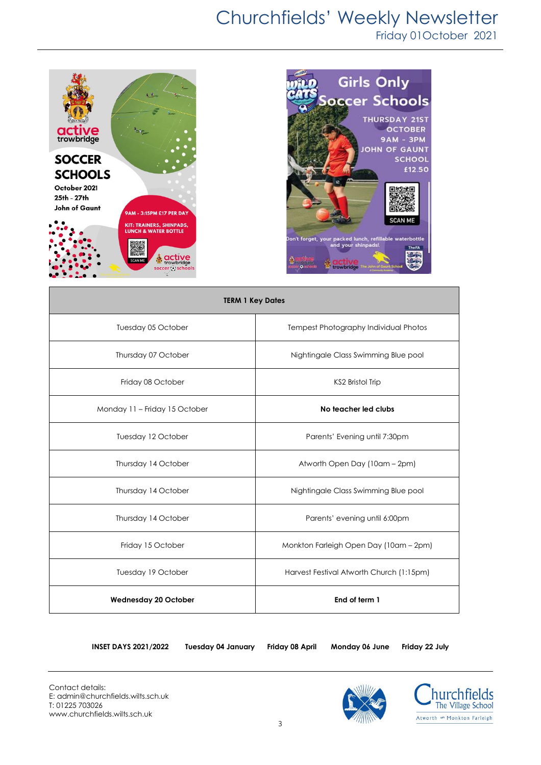# Churchfields' Weekly Newsletter

Friday 01October 2021





| <b>TERM 1 Key Dates</b>       |                                          |  |  |
|-------------------------------|------------------------------------------|--|--|
| Tuesday 05 October            | Tempest Photography Individual Photos    |  |  |
| Thursday 07 October           | Nightingale Class Swimming Blue pool     |  |  |
| Friday 08 October             | KS2 Bristol Trip                         |  |  |
| Monday 11 - Friday 15 October | No teacher led clubs                     |  |  |
| Tuesday 12 October            | Parents' Evening until 7:30pm            |  |  |
| Thursday 14 October           | Atworth Open Day (10am - 2pm)            |  |  |
| Thursday 14 October           | Nightingale Class Swimming Blue pool     |  |  |
| Thursday 14 October           | Parents' evening until 6:00pm            |  |  |
| Friday 15 October             | Monkton Farleigh Open Day (10am - 2pm)   |  |  |
| Tuesday 19 October            | Harvest Festival Atworth Church (1:15pm) |  |  |
| <b>Wednesday 20 October</b>   | End of term 1                            |  |  |

**INSET DAYS 2021/2022 Tuesday 04 January Friday 08 April Monday 06 June Friday 22 July**



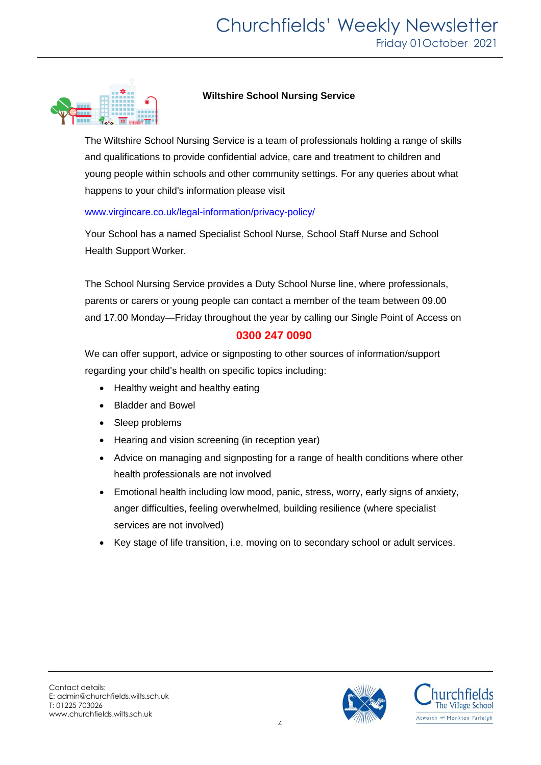

## **Wiltshire School Nursing Service**

The Wiltshire School Nursing Service is a team of professionals holding a range of skills and qualifications to provide confidential advice, care and treatment to children and young people within schools and other community settings. For any queries about what happens to your child's information please visit

## www.virgincare.co.uk/legal-information/privacy-policy/

Your School has a named Specialist School Nurse, School Staff Nurse and School Health Support Worker.

The School Nursing Service provides a Duty School Nurse line, where professionals, parents or carers or young people can contact a member of the team between 09.00 and 17.00 Monday—Friday throughout the year by calling our Single Point of Access on

## **0300 247 0090**

We can offer support, advice or signposting to other sources of information/support regarding your child's health on specific topics including:

- Healthy weight and healthy eating
- Bladder and Bowel
- Sleep problems
- Hearing and vision screening (in reception year)
- Advice on managing and signposting for a range of health conditions where other health professionals are not involved
- Emotional health including low mood, panic, stress, worry, early signs of anxiety, anger difficulties, feeling overwhelmed, building resilience (where specialist services are not involved)
- Key stage of life transition, i.e. moving on to secondary school or adult services.